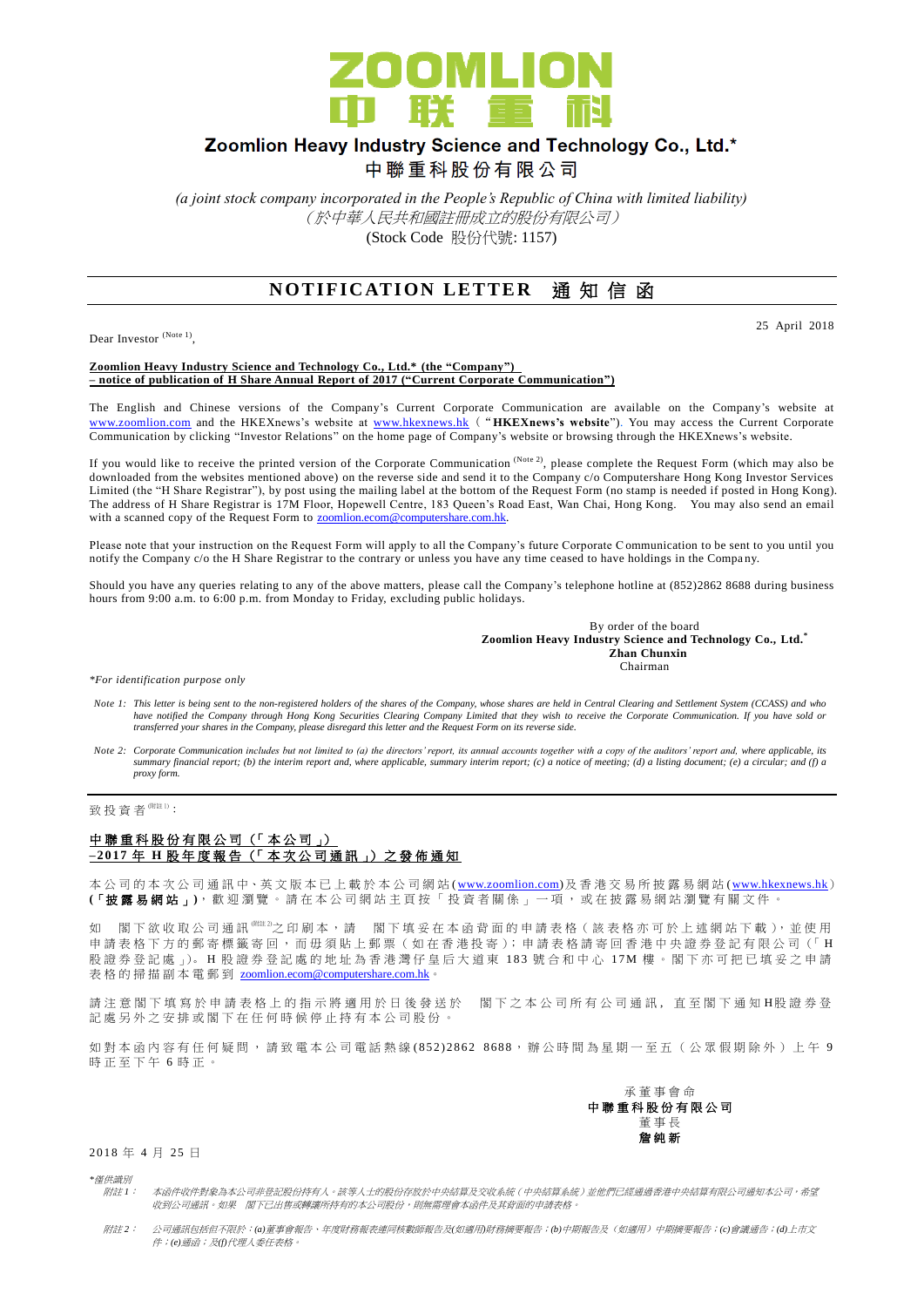

## Zoomlion Heavy Industry Science and Technology Co., Ltd.\* 中聯重科股份有限公司

*(a joint stock company incorporated in the People's Republic of China with limited liability)* (於中華人民共和國註冊成立的股份有限公司) (Stock Code 股份代號: 1157)

# **NOTIFICATION LETTER** 通知信函

Dear Investor (Note 1),

#### 25 April 2018

#### **Zoomlion Heavy Industry Science and Technology Co., Ltd.\* (the "Company") – notice of publication of H Share Annual Report of 2017 ("Current Corporate Communication")**

The English and Chinese versions of the Company's Current Corporate Communication are available on the Company's website at [www.zoomlion.com](http://www.zoomlion.com/) and the HKEXnews's website at [www.hkexnews.hk](http://www.hkexnews.hk/) ("**HKEXnews's website**"). You may access the Current Corporate Communication by clicking "Investor Relations" on the home page of Company's website or browsing through the HKEXnews's website.

If you would like to receive the printed version of the Corporate Communication  $^{(Note 2)}$ , please complete the Request Form (which may also be downloaded from the websites mentioned above) on the reverse side and send it to the Company c/o Computershare Hong Kong Investor Services Limited (the "H Share Registrar"), by post using the mailing label at the bottom of the Request Form (no stamp is needed if posted in Hong Kong). The address of H Share Registrar is 17M Floor, Hopewell Centre, 183 Queen's Road East, Wan Chai, Hong Kong. You may also send an email with a scanned copy of the Request Form to **zoomlion.ecom@computershare.com.hk.** 

Please note that your instruction on the Request Form will apply to all the Company's future Corporate Communication to be sent to you until you notify the Company c/o the H Share Registrar to the contrary or unless you have any time ceased to have holdings in the Compa ny.

Should you have any queries relating to any of the above matters, please call the Company's telephone hotline at (852)2862 8688 during business hours from 9:00 a.m. to 6:00 p.m. from Monday to Friday, excluding public holidays.

> By order of the board **Zoomlion Heavy Industry Science and Technology Co., Ltd.\* Zhan Chunxin** Chairman

*\*For identification purpose only*

- *Note 1: This letter is being sent to the non-registered holders of the shares of the Company, whose shares are held in Central Clearing and Settlement System (CCASS) and who*  have notified the Company through Hong Kong Securities Clearing Company Limited that they wish to receive the Corporate Communication. If you have sold or<br>transferred your shares in the Company, please disregard this lette
- *Note 2: Corporate Communication includes but not limited to (a) the directors' report, its annual accounts together with a copy of the auditors' report and, where applicable, its summary financial report; (b) the interim report and, where applicable, summary interim report; (c) a notice of meeting; (d) a listing document; (e) a circular; and (f) a proxy form.*

致 投 資 者 <sup>(附註 1)</sup>:

### 中聯重科股份有限公司 (「本公司」) **– 2017** 年 **H** 股 年 度 報 告 (「 本 次 公 司 通 訊 」) 之 發 佈 通 知

本公司的 本 次 公 司 通 訊 中、英 文 版 本 已 上 載於本 公 司 網 站 [\(www.zoomlion.com\)](http://www.zoomlion.com/)及香港交易所披露易網站 [\(www.hkexnews.hk](http://www.hkexnews.hk/)) **(**「披露易網站 」**)**,歡迎瀏覽。 請 在 本 公 司 網 站 主 頁 按 「 投 資 者 關 係 」 一 項 , 或 在 披 露 易 網 站 瀏 覽 有 關 文 件 。

如 閣下欲收取公司通訊<sup>《睢》</sup>之印刷本,請 閣下填妥在本函背面的申請表格(該表格亦可於上述網站下載),並使用 申請表格下方的郵寄標籤寄回,而毋須貼上郵票(如在香港投寄);申請表格請寄回香港中央證券登記有限公司(「H 股證券 登 記 處 」)。 H 股 證 券 登 記 處 的 地 址 為 香 港 灣 仔 皇 后 大 道 東 183 號 合 和 中 心 17M 樓 。 閣 下 亦 可 把 已 填 妥 之 申 請 表格的掃描副本電郵到 [zoomlion.ecom@computershare.com.hk](mailto:zoomlion.ecom@computershare.com.hk)

請注 意 閣 下 填 寫 於 申 請 表 格 上 的 指 示 將 適 用 於 日 後 發 送 於 图 下 之 本 公 司 所 有 公 司 通 訊 , 直 至 閣 下 通 知 H股 證 券 登 記處另外之安排或閣下在任何時候停止持有本公司股份。

如對本函內容有任何疑問,請致電本公司電話熱線 (852) 2862 8688,辦公時間為星期一至五(公眾假期除外)上午 9 時正至下午 6 時正。



2018 年 4 月 25 日

*\**僅供識別

- 附註 *1*: 本函件收件對象為本公司非登記股份持有人。該等人士的股份存放於中央結算及交收系統(中央結算系統)並他們已經通過香港中央結算有限公司通知本公司,希望 收到公司通訊。如果 閣下已出售或轉讓所持有的本公司股份,則無需理會本函件及其背面的申請表格。
- 附註 *2*: 公司通訊包括但不限於:*(a)*董事會報告、年度財務報表連同核數師報告及*(*如適用*)*財務摘要報告;*(b)*中期報告及(如適用)中期摘要報告;*(c)*會議通告;*(d)*上市文 件;*(e)*通函;及*(f)*代理人委任表格。